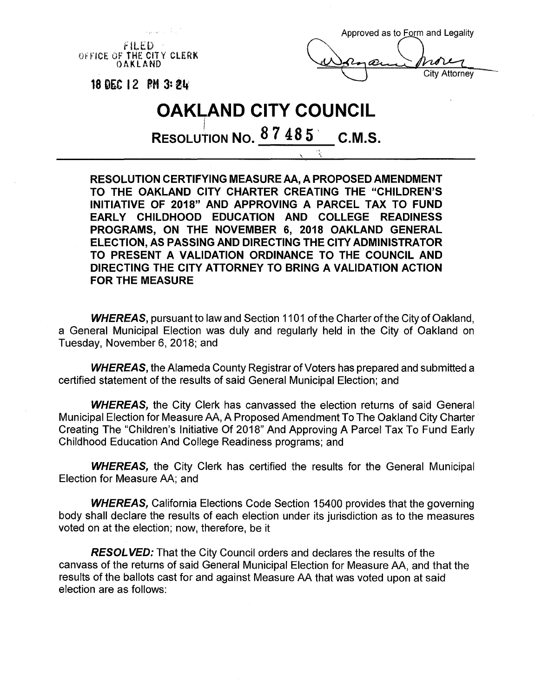

**RESOLUTION CERTIFYING MEASURE AA, A PROPOSED AMENDMENT TO THE OAKLAND CITY CHARTER CREATING THE "CHILDREN'S INITIATIVE OF 2018" AND APPROVING A PARCEL TAX TO FUND EARLY CHILDHOOD EDUCATION AND COLLEGE READINESS PROGRAMS, ON THE NOVEMBER 6, 2018 OAKLAND GENERAL ELECTION, AS PASSING AND DIRECTING THE CITY ADMINISTRATOR TO PRESENT A VALIDATION ORDINANCE TO THE COUNCIL AND DIRECTING THE CITY ATTORNEY TO BRING A VALIDATION ACTION FOR THE MEASURE**

**WHEREAS, pursuant to law and Section 1101 of the Charter of the City of Oakland.** a General Municipal Election was duly and regularly held in the City of Oakland on Tuesday, November 6, 2018; and

**WHEREAS, the Alameda County Registrar of Voters has prepared and submitted a** certified statement of the results of said General Municipal Election; and

*WHEREAS*, the City Clerk has canvassed the election returns of said General Municipal Election for Measure AA, A Proposed Amendment To The Oakland City Charter Creating The "Children's Initiative Of 2018" And Approving A Parcel Tax To Fund Early Childhood Education And College Readiness programs; and

*WHEREAS*, the City Clerk has certified the results for the General Municipal Election for Measure AA; and

*WHEREAS*, California Elections Code Section 15400 provides that the governing body shall declare the results of each election under its jurisdiction as to the measures voted on at the election; now, therefore, be it

*RESOLVED:* That the City Council orders and declares the results of the canvass of the returns of said General Municipal Election for Measure AA, and that the results of the ballots cast for and against Measure AA that was voted upon at said election are as follows: